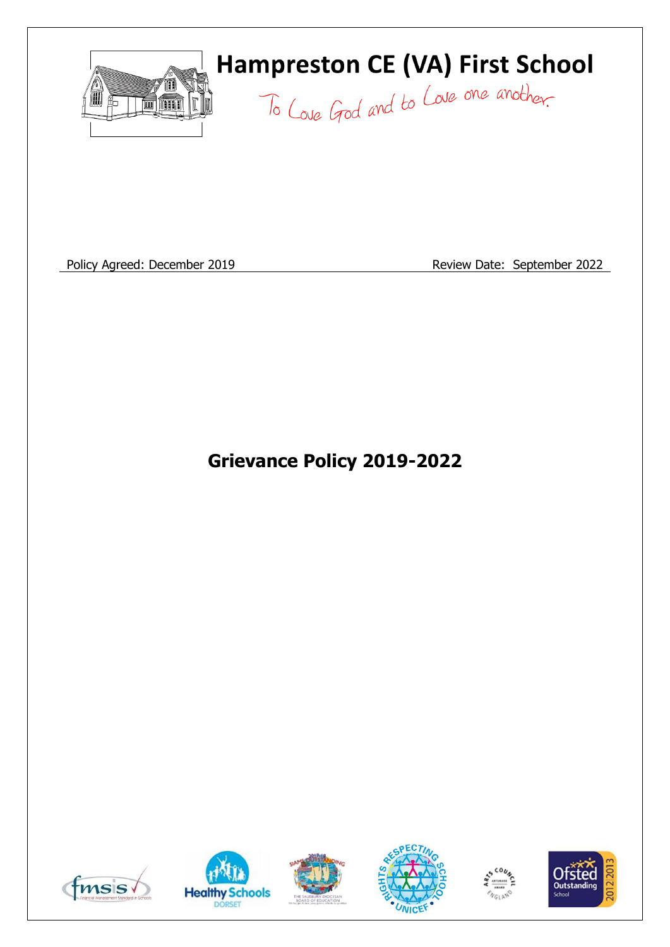

# **Hampreston CE (VA) First School**

To Love God and to Love one another.

Policy Agreed: December 2019 **Review Date: September 2022** 

**Grievance Policy 2019-2022**











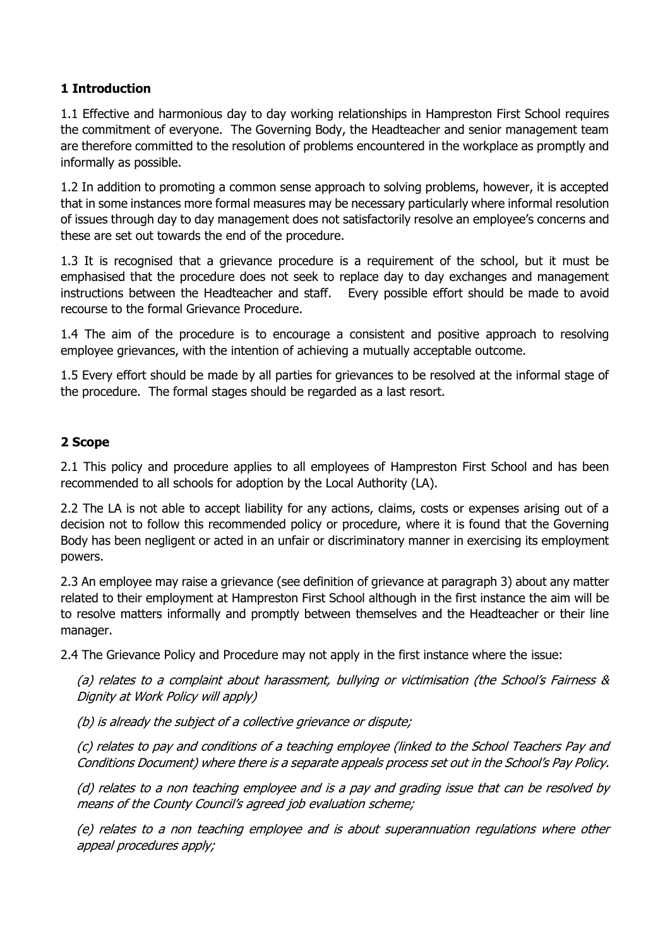# **1 Introduction**

1.1 Effective and harmonious day to day working relationships in Hampreston First School requires the commitment of everyone. The Governing Body, the Headteacher and senior management team are therefore committed to the resolution of problems encountered in the workplace as promptly and informally as possible.

1.2 In addition to promoting a common sense approach to solving problems, however, it is accepted that in some instances more formal measures may be necessary particularly where informal resolution of issues through day to day management does not satisfactorily resolve an employee's concerns and these are set out towards the end of the procedure.

1.3 It is recognised that a grievance procedure is a requirement of the school, but it must be emphasised that the procedure does not seek to replace day to day exchanges and management instructions between the Headteacher and staff. Every possible effort should be made to avoid recourse to the formal Grievance Procedure.

1.4 The aim of the procedure is to encourage a consistent and positive approach to resolving employee grievances, with the intention of achieving a mutually acceptable outcome.

1.5 Every effort should be made by all parties for grievances to be resolved at the informal stage of the procedure. The formal stages should be regarded as a last resort.

# **2 Scope**

2.1 This policy and procedure applies to all employees of Hampreston First School and has been recommended to all schools for adoption by the Local Authority (LA).

2.2 The LA is not able to accept liability for any actions, claims, costs or expenses arising out of a decision not to follow this recommended policy or procedure, where it is found that the Governing Body has been negligent or acted in an unfair or discriminatory manner in exercising its employment powers.

2.3 An employee may raise a grievance (see definition of grievance at paragraph 3) about any matter related to their employment at Hampreston First School although in the first instance the aim will be to resolve matters informally and promptly between themselves and the Headteacher or their line manager.

2.4 The Grievance Policy and Procedure may not apply in the first instance where the issue:

(a) relates to a complaint about harassment, bullying or victimisation (the School's Fairness & Dignity at Work Policy will apply)

(b) is already the subject of a collective grievance or dispute;

(c) relates to pay and conditions of a teaching employee (linked to the School Teachers Pay and Conditions Document) where there is a separate appeals process set out in the School's Pay Policy.

(d) relates to a non teaching employee and is a pay and grading issue that can be resolved by means of the County Council's agreed job evaluation scheme;

(e) relates to a non teaching employee and is about superannuation regulations where other appeal procedures apply;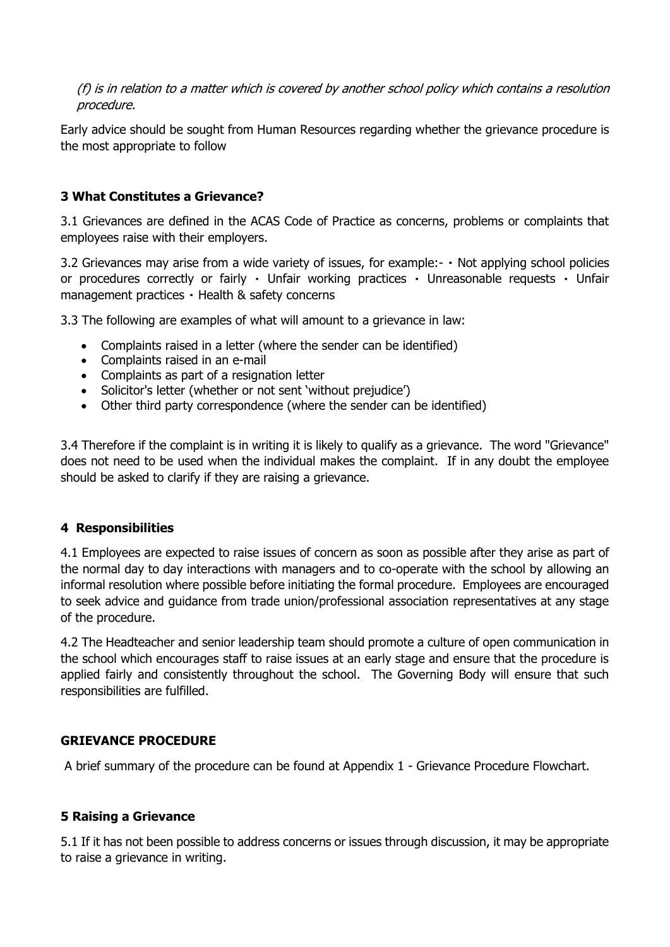(f) is in relation to a matter which is covered by another school policy which contains a resolution procedure.

Early advice should be sought from Human Resources regarding whether the grievance procedure is the most appropriate to follow

# **3 What Constitutes a Grievance?**

3.1 Grievances are defined in the ACAS Code of Practice as concerns, problems or complaints that employees raise with their employers.

3.2 Grievances may arise from a wide variety of issues, for example:-  $\cdot$  Not applying school policies or procedures correctly or fairly Unfair working practices Unreasonable requests Unfair management practices · Health & safety concerns

3.3 The following are examples of what will amount to a grievance in law:

- Complaints raised in a letter (where the sender can be identified)
- Complaints raised in an e-mail
- Complaints as part of a resignation letter
- Solicitor's letter (whether or not sent 'without prejudice')
- Other third party correspondence (where the sender can be identified)

3.4 Therefore if the complaint is in writing it is likely to qualify as a grievance. The word "Grievance" does not need to be used when the individual makes the complaint. If in any doubt the employee should be asked to clarify if they are raising a grievance.

#### **4 Responsibilities**

4.1 Employees are expected to raise issues of concern as soon as possible after they arise as part of the normal day to day interactions with managers and to co-operate with the school by allowing an informal resolution where possible before initiating the formal procedure. Employees are encouraged to seek advice and guidance from trade union/professional association representatives at any stage of the procedure.

4.2 The Headteacher and senior leadership team should promote a culture of open communication in the school which encourages staff to raise issues at an early stage and ensure that the procedure is applied fairly and consistently throughout the school. The Governing Body will ensure that such responsibilities are fulfilled.

# **GRIEVANCE PROCEDURE**

A brief summary of the procedure can be found at Appendix 1 - Grievance Procedure Flowchart.

#### **5 Raising a Grievance**

5.1 If it has not been possible to address concerns or issues through discussion, it may be appropriate to raise a grievance in writing.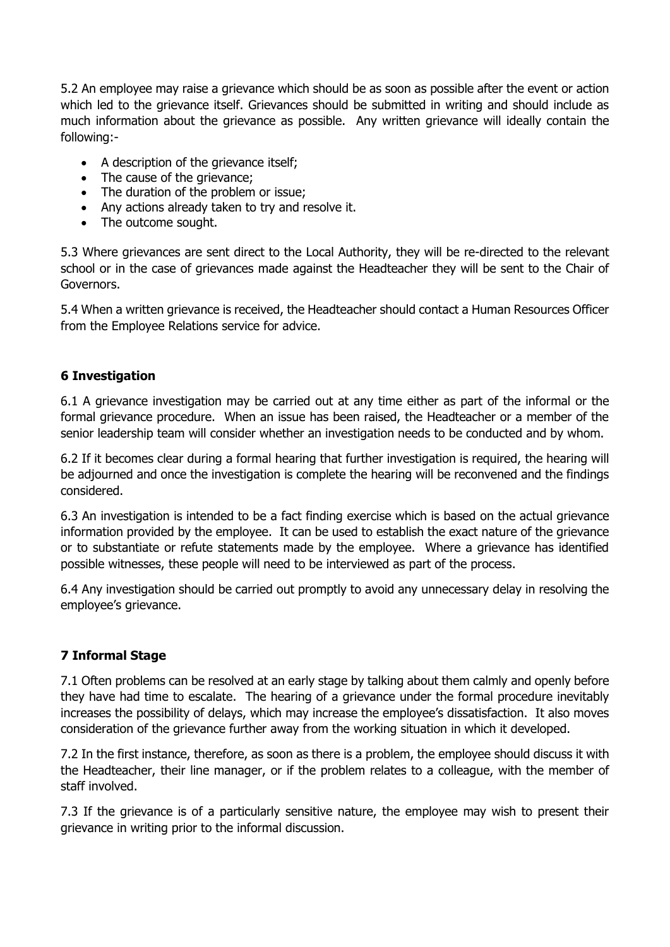5.2 An employee may raise a grievance which should be as soon as possible after the event or action which led to the grievance itself. Grievances should be submitted in writing and should include as much information about the grievance as possible. Any written grievance will ideally contain the following:-

- A description of the grievance itself;
- The cause of the grievance:
- The duration of the problem or issue:
- Any actions already taken to try and resolve it.
- The outcome sought.

5.3 Where grievances are sent direct to the Local Authority, they will be re-directed to the relevant school or in the case of grievances made against the Headteacher they will be sent to the Chair of Governors.

5.4 When a written grievance is received, the Headteacher should contact a Human Resources Officer from the Employee Relations service for advice.

# **6 Investigation**

6.1 A grievance investigation may be carried out at any time either as part of the informal or the formal grievance procedure. When an issue has been raised, the Headteacher or a member of the senior leadership team will consider whether an investigation needs to be conducted and by whom.

6.2 If it becomes clear during a formal hearing that further investigation is required, the hearing will be adjourned and once the investigation is complete the hearing will be reconvened and the findings considered.

6.3 An investigation is intended to be a fact finding exercise which is based on the actual grievance information provided by the employee. It can be used to establish the exact nature of the grievance or to substantiate or refute statements made by the employee. Where a grievance has identified possible witnesses, these people will need to be interviewed as part of the process.

6.4 Any investigation should be carried out promptly to avoid any unnecessary delay in resolving the employee's grievance.

# **7 Informal Stage**

7.1 Often problems can be resolved at an early stage by talking about them calmly and openly before they have had time to escalate. The hearing of a grievance under the formal procedure inevitably increases the possibility of delays, which may increase the employee's dissatisfaction. It also moves consideration of the grievance further away from the working situation in which it developed.

7.2 In the first instance, therefore, as soon as there is a problem, the employee should discuss it with the Headteacher, their line manager, or if the problem relates to a colleague, with the member of staff involved.

7.3 If the grievance is of a particularly sensitive nature, the employee may wish to present their grievance in writing prior to the informal discussion.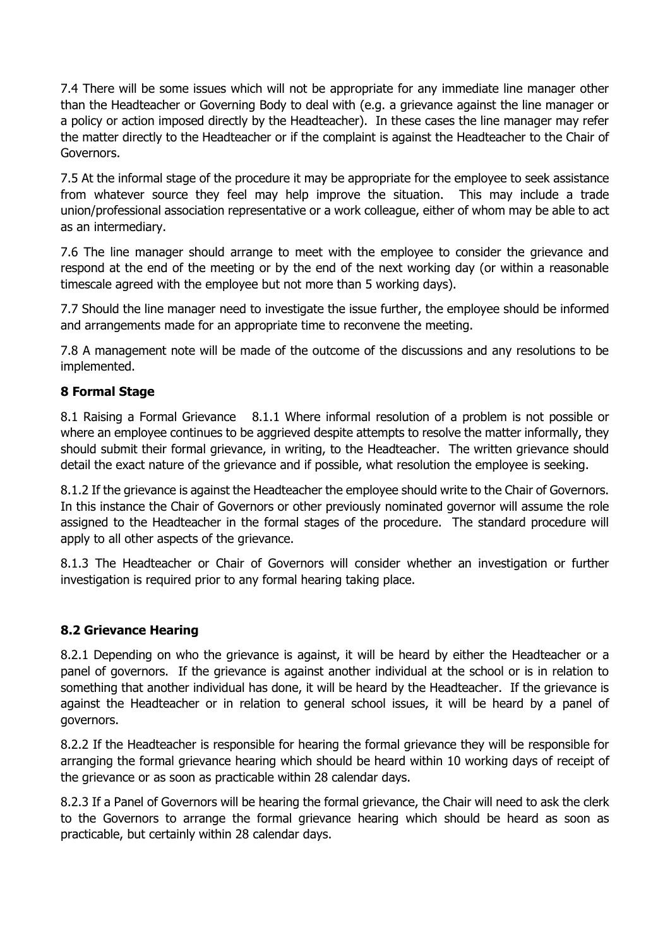7.4 There will be some issues which will not be appropriate for any immediate line manager other than the Headteacher or Governing Body to deal with (e.g. a grievance against the line manager or a policy or action imposed directly by the Headteacher). In these cases the line manager may refer the matter directly to the Headteacher or if the complaint is against the Headteacher to the Chair of Governors.

7.5 At the informal stage of the procedure it may be appropriate for the employee to seek assistance from whatever source they feel may help improve the situation. This may include a trade union/professional association representative or a work colleague, either of whom may be able to act as an intermediary.

7.6 The line manager should arrange to meet with the employee to consider the grievance and respond at the end of the meeting or by the end of the next working day (or within a reasonable timescale agreed with the employee but not more than 5 working days).

7.7 Should the line manager need to investigate the issue further, the employee should be informed and arrangements made for an appropriate time to reconvene the meeting.

7.8 A management note will be made of the outcome of the discussions and any resolutions to be implemented.

# **8 Formal Stage**

8.1 Raising a Formal Grievance 8.1.1 Where informal resolution of a problem is not possible or where an employee continues to be aggrieved despite attempts to resolve the matter informally, they should submit their formal grievance, in writing, to the Headteacher. The written grievance should detail the exact nature of the grievance and if possible, what resolution the employee is seeking.

8.1.2 If the grievance is against the Headteacher the employee should write to the Chair of Governors. In this instance the Chair of Governors or other previously nominated governor will assume the role assigned to the Headteacher in the formal stages of the procedure. The standard procedure will apply to all other aspects of the grievance.

8.1.3 The Headteacher or Chair of Governors will consider whether an investigation or further investigation is required prior to any formal hearing taking place.

# **8.2 Grievance Hearing**

8.2.1 Depending on who the grievance is against, it will be heard by either the Headteacher or a panel of governors. If the grievance is against another individual at the school or is in relation to something that another individual has done, it will be heard by the Headteacher. If the grievance is against the Headteacher or in relation to general school issues, it will be heard by a panel of governors.

8.2.2 If the Headteacher is responsible for hearing the formal grievance they will be responsible for arranging the formal grievance hearing which should be heard within 10 working days of receipt of the grievance or as soon as practicable within 28 calendar days.

8.2.3 If a Panel of Governors will be hearing the formal grievance, the Chair will need to ask the clerk to the Governors to arrange the formal grievance hearing which should be heard as soon as practicable, but certainly within 28 calendar days.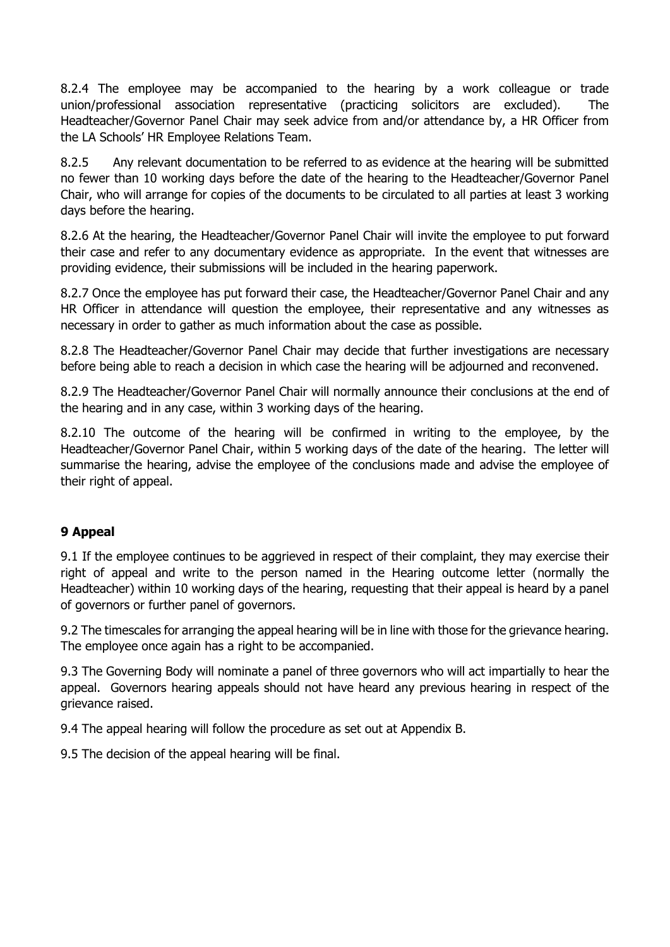8.2.4 The employee may be accompanied to the hearing by a work colleague or trade union/professional association representative (practicing solicitors are excluded). The Headteacher/Governor Panel Chair may seek advice from and/or attendance by, a HR Officer from the LA Schools' HR Employee Relations Team.

8.2.5 Any relevant documentation to be referred to as evidence at the hearing will be submitted no fewer than 10 working days before the date of the hearing to the Headteacher/Governor Panel Chair, who will arrange for copies of the documents to be circulated to all parties at least 3 working days before the hearing.

8.2.6 At the hearing, the Headteacher/Governor Panel Chair will invite the employee to put forward their case and refer to any documentary evidence as appropriate. In the event that witnesses are providing evidence, their submissions will be included in the hearing paperwork.

8.2.7 Once the employee has put forward their case, the Headteacher/Governor Panel Chair and any HR Officer in attendance will question the employee, their representative and any witnesses as necessary in order to gather as much information about the case as possible.

8.2.8 The Headteacher/Governor Panel Chair may decide that further investigations are necessary before being able to reach a decision in which case the hearing will be adjourned and reconvened.

8.2.9 The Headteacher/Governor Panel Chair will normally announce their conclusions at the end of the hearing and in any case, within 3 working days of the hearing.

8.2.10 The outcome of the hearing will be confirmed in writing to the employee, by the Headteacher/Governor Panel Chair, within 5 working days of the date of the hearing. The letter will summarise the hearing, advise the employee of the conclusions made and advise the employee of their right of appeal.

# **9 Appeal**

9.1 If the employee continues to be aggrieved in respect of their complaint, they may exercise their right of appeal and write to the person named in the Hearing outcome letter (normally the Headteacher) within 10 working days of the hearing, requesting that their appeal is heard by a panel of governors or further panel of governors.

9.2 The timescales for arranging the appeal hearing will be in line with those for the grievance hearing. The employee once again has a right to be accompanied.

9.3 The Governing Body will nominate a panel of three governors who will act impartially to hear the appeal. Governors hearing appeals should not have heard any previous hearing in respect of the grievance raised.

9.4 The appeal hearing will follow the procedure as set out at Appendix B.

9.5 The decision of the appeal hearing will be final.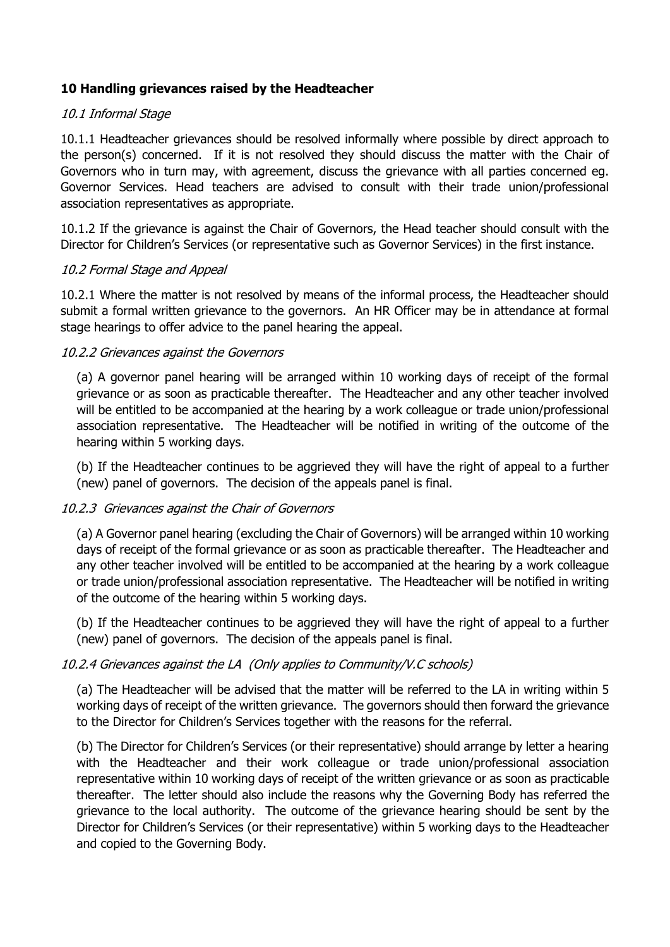# **10 Handling grievances raised by the Headteacher**

#### 10.1 Informal Stage

10.1.1 Headteacher grievances should be resolved informally where possible by direct approach to the person(s) concerned. If it is not resolved they should discuss the matter with the Chair of Governors who in turn may, with agreement, discuss the grievance with all parties concerned eg. Governor Services. Head teachers are advised to consult with their trade union/professional association representatives as appropriate.

10.1.2 If the grievance is against the Chair of Governors, the Head teacher should consult with the Director for Children's Services (or representative such as Governor Services) in the first instance.

#### 10.2 Formal Stage and Appeal

10.2.1 Where the matter is not resolved by means of the informal process, the Headteacher should submit a formal written grievance to the governors. An HR Officer may be in attendance at formal stage hearings to offer advice to the panel hearing the appeal.

#### 10.2.2 Grievances against the Governors

(a) A governor panel hearing will be arranged within 10 working days of receipt of the formal grievance or as soon as practicable thereafter. The Headteacher and any other teacher involved will be entitled to be accompanied at the hearing by a work colleague or trade union/professional association representative. The Headteacher will be notified in writing of the outcome of the hearing within 5 working days.

(b) If the Headteacher continues to be aggrieved they will have the right of appeal to a further (new) panel of governors. The decision of the appeals panel is final.

# 10.2.3 Grievances against the Chair of Governors

(a) A Governor panel hearing (excluding the Chair of Governors) will be arranged within 10 working days of receipt of the formal grievance or as soon as practicable thereafter. The Headteacher and any other teacher involved will be entitled to be accompanied at the hearing by a work colleague or trade union/professional association representative. The Headteacher will be notified in writing of the outcome of the hearing within 5 working days.

(b) If the Headteacher continues to be aggrieved they will have the right of appeal to a further (new) panel of governors. The decision of the appeals panel is final.

#### 10.2.4 Grievances against the LA (Only applies to Community/V.C schools)

(a) The Headteacher will be advised that the matter will be referred to the LA in writing within 5 working days of receipt of the written grievance. The governors should then forward the grievance to the Director for Children's Services together with the reasons for the referral.

(b) The Director for Children's Services (or their representative) should arrange by letter a hearing with the Headteacher and their work colleague or trade union/professional association representative within 10 working days of receipt of the written grievance or as soon as practicable thereafter. The letter should also include the reasons why the Governing Body has referred the grievance to the local authority. The outcome of the grievance hearing should be sent by the Director for Children's Services (or their representative) within 5 working days to the Headteacher and copied to the Governing Body.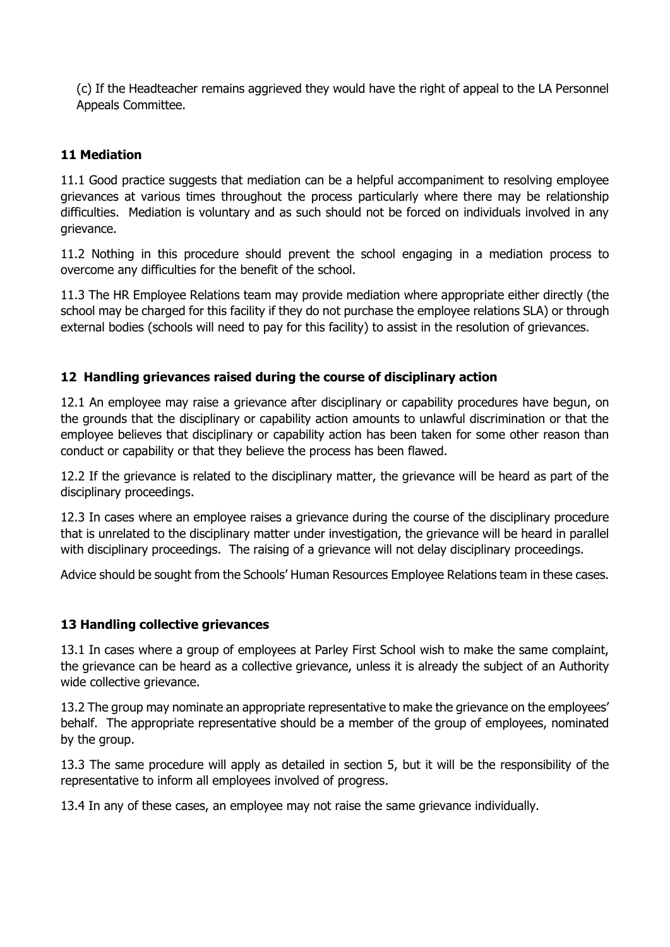(c) If the Headteacher remains aggrieved they would have the right of appeal to the LA Personnel Appeals Committee.

# **11 Mediation**

11.1 Good practice suggests that mediation can be a helpful accompaniment to resolving employee grievances at various times throughout the process particularly where there may be relationship difficulties. Mediation is voluntary and as such should not be forced on individuals involved in any grievance.

11.2 Nothing in this procedure should prevent the school engaging in a mediation process to overcome any difficulties for the benefit of the school.

11.3 The HR Employee Relations team may provide mediation where appropriate either directly (the school may be charged for this facility if they do not purchase the employee relations SLA) or through external bodies (schools will need to pay for this facility) to assist in the resolution of grievances.

#### **12 Handling grievances raised during the course of disciplinary action**

12.1 An employee may raise a grievance after disciplinary or capability procedures have begun, on the grounds that the disciplinary or capability action amounts to unlawful discrimination or that the employee believes that disciplinary or capability action has been taken for some other reason than conduct or capability or that they believe the process has been flawed.

12.2 If the grievance is related to the disciplinary matter, the grievance will be heard as part of the disciplinary proceedings.

12.3 In cases where an employee raises a grievance during the course of the disciplinary procedure that is unrelated to the disciplinary matter under investigation, the grievance will be heard in parallel with disciplinary proceedings. The raising of a grievance will not delay disciplinary proceedings.

Advice should be sought from the Schools' Human Resources Employee Relations team in these cases.

#### **13 Handling collective grievances**

13.1 In cases where a group of employees at Parley First School wish to make the same complaint, the grievance can be heard as a collective grievance, unless it is already the subject of an Authority wide collective grievance.

13.2 The group may nominate an appropriate representative to make the grievance on the employees' behalf. The appropriate representative should be a member of the group of employees, nominated by the group.

13.3 The same procedure will apply as detailed in section 5, but it will be the responsibility of the representative to inform all employees involved of progress.

13.4 In any of these cases, an employee may not raise the same grievance individually.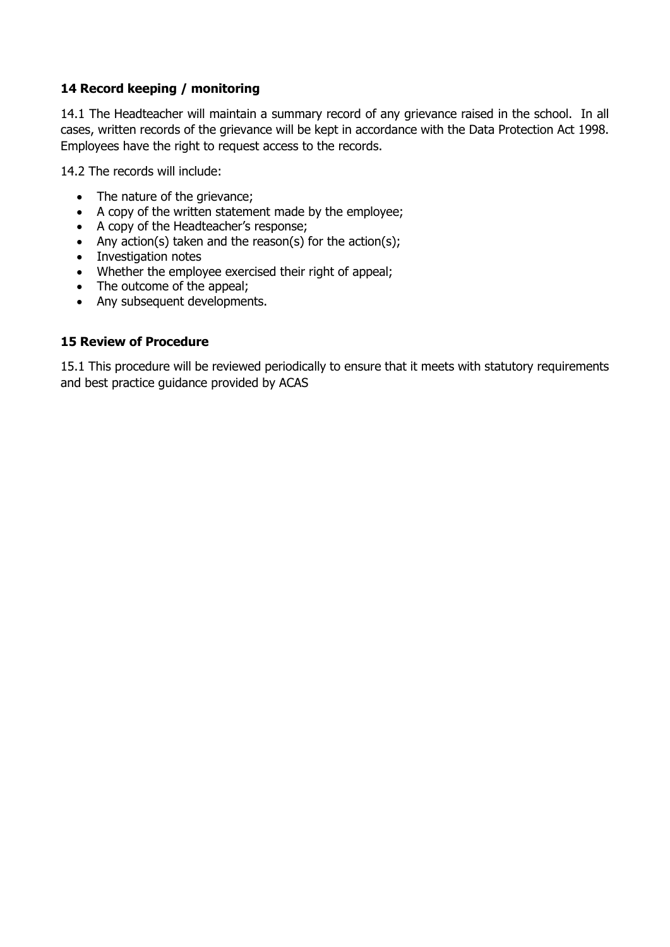# **14 Record keeping / monitoring**

14.1 The Headteacher will maintain a summary record of any grievance raised in the school. In all cases, written records of the grievance will be kept in accordance with the Data Protection Act 1998. Employees have the right to request access to the records.

14.2 The records will include:

- The nature of the grievance:
- A copy of the written statement made by the employee;
- A copy of the Headteacher's response;
- Any action(s) taken and the reason(s) for the action(s);
- Investigation notes
- Whether the employee exercised their right of appeal;
- The outcome of the appeal;
- Any subsequent developments.

# **15 Review of Procedure**

15.1 This procedure will be reviewed periodically to ensure that it meets with statutory requirements and best practice guidance provided by ACAS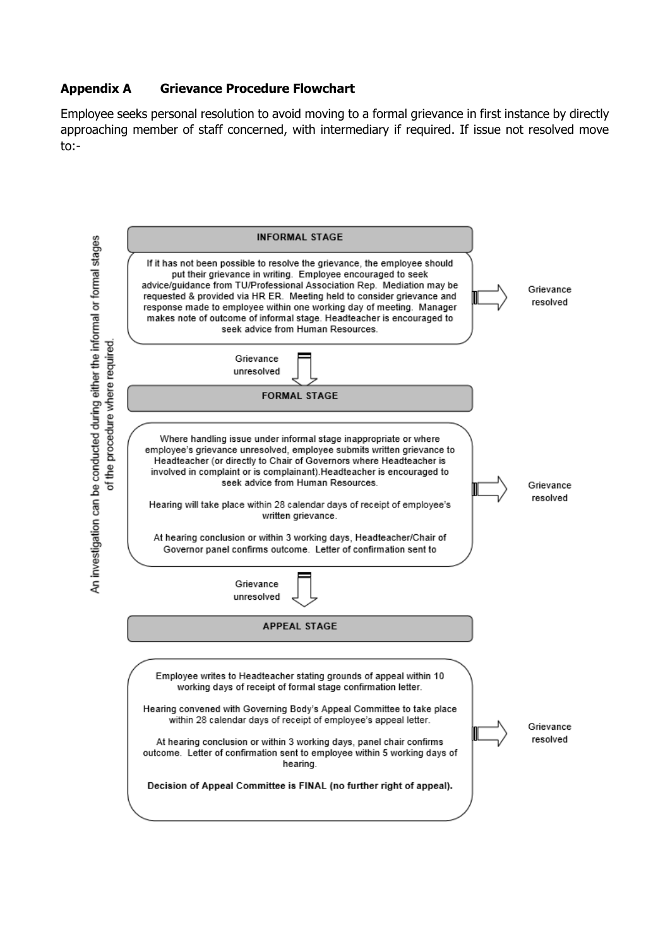# **Appendix A Grievance Procedure Flowchart**

Employee seeks personal resolution to avoid moving to a formal grievance in first instance by directly approaching member of staff concerned, with intermediary if required. If issue not resolved move to:-